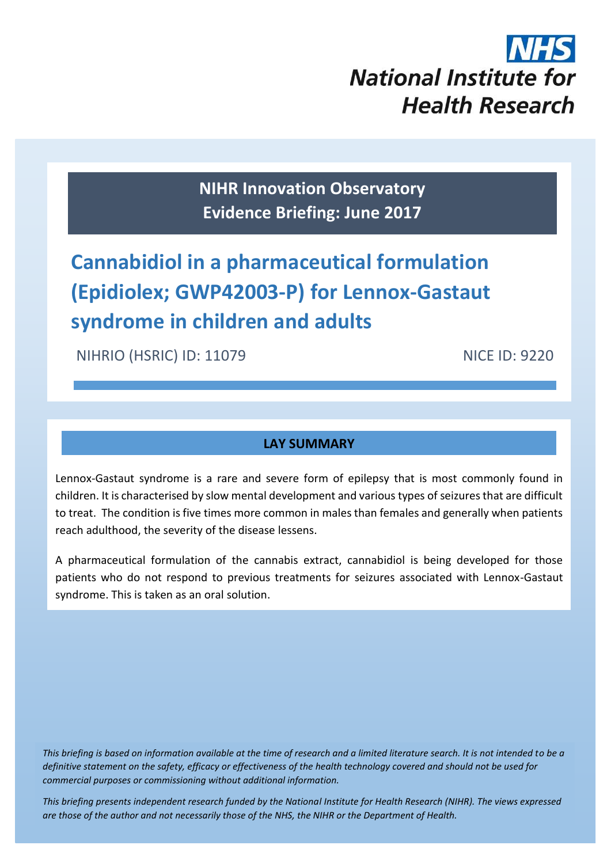

**NIHR Innovation Observatory Evidence Briefing: June 2017**

# **Cannabidiol in a pharmaceutical formulation (Epidiolex; GWP42003-P) for Lennox-Gastaut syndrome in children and adults**

NIHRIO (HSRIC) ID: 11079 NICE ID: 9220

# **LAY SUMMARY**

Lennox-Gastaut syndrome is a rare and severe form of epilepsy that is most commonly found in children. It is characterised by slow mental development and various types of seizures that are difficult to treat. The condition is five times more common in males than females and generally when patients reach adulthood, the severity of the disease lessens.

A pharmaceutical formulation of the cannabis extract, cannabidiol is being developed for those patients who do not respond to previous treatments for seizures associated with Lennox-Gastaut syndrome. This is taken as an oral solution.

*This briefing is based on information available at the time of research and a limited literature search. It is not intended to be a definitive statement on the safety, efficacy or effectiveness of the health technology covered and should not be used for commercial purposes or commissioning without additional information.*

1 *This briefing presents independent research funded by the National Institute for Health Research (NIHR). The views expressed are those of the author and not necessarily those of the NHS, the NIHR or the Department of Health.*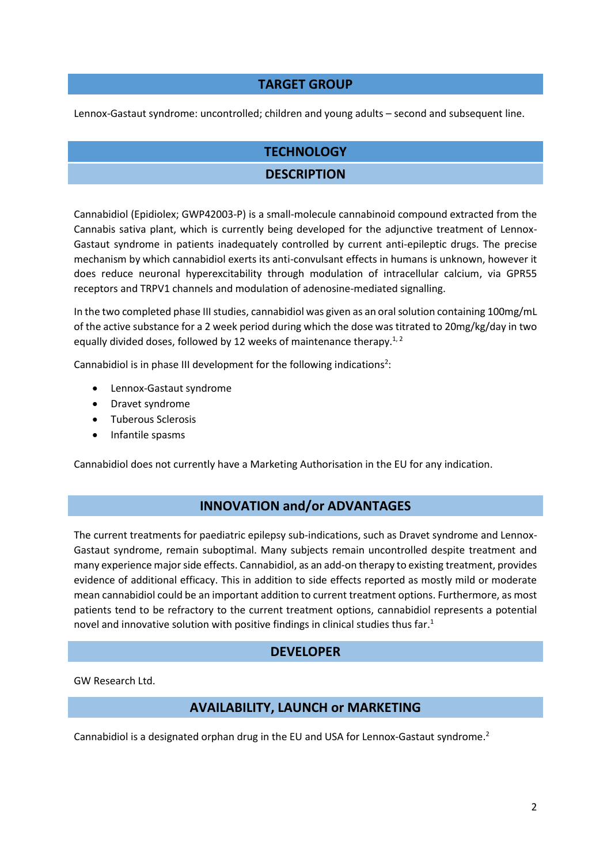#### **TARGET GROUP**

Lennox-Gastaut syndrome: uncontrolled; children and young adults – second and subsequent line.

# **TECHNOLOGY**

### **DESCRIPTION**

Cannabidiol (Epidiolex; GWP42003-P) is a small-molecule cannabinoid compound extracted from the Cannabis sativa plant, which is currently being developed for the adjunctive treatment of Lennox-Gastaut syndrome in patients inadequately controlled by current anti-epileptic drugs. The precise mechanism by which cannabidiol exerts its anti-convulsant effects in humans is unknown, however it does reduce neuronal hyperexcitability through modulation of intracellular calcium, via GPR55 receptors and TRPV1 channels and modulation of adenosine-mediated signalling.

In the two completed phase III studies, cannabidiol was given as an oral solution containing 100mg/mL of the active substance for a 2 week period during which the dose was titrated to 20mg/kg/day in two equally divided doses, followed by 12 weeks of maintenance therapy.<sup>1, 2</sup>

Cannabidiol is in phase III development for the following indications<sup>2</sup>:

- Lennox-Gastaut syndrome
- Dravet syndrome
- **•** Tuberous Sclerosis
- Infantile spasms

Cannabidiol does not currently have a Marketing Authorisation in the EU for any indication.

#### **INNOVATION and/or ADVANTAGES**

The current treatments for paediatric epilepsy sub-indications, such as Dravet syndrome and Lennox-Gastaut syndrome, remain suboptimal. Many subjects remain uncontrolled despite treatment and many experience major side effects. Cannabidiol, as an add-on therapy to existing treatment, provides evidence of additional efficacy. This in addition to side effects reported as mostly mild or moderate mean cannabidiol could be an important addition to current treatment options. Furthermore, as most patients tend to be refractory to the current treatment options, cannabidiol represents a potential novel and innovative solution with positive findings in clinical studies thus far. 1

#### **DEVELOPER**

GW Research Ltd.

#### **AVAILABILITY, LAUNCH or MARKETING**

Cannabidiol is a designated orphan drug in the EU and USA for Lennox-Gastaut syndrome.<sup>2</sup>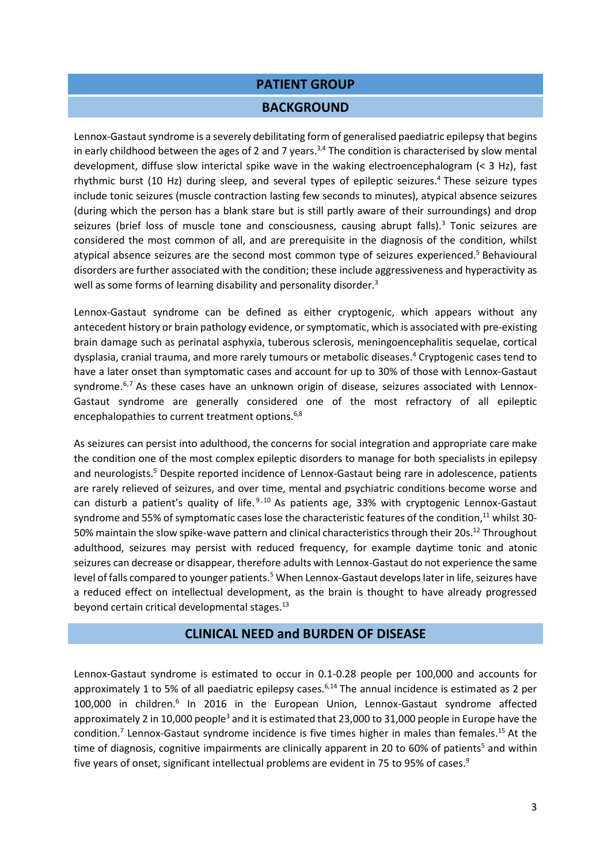#### **PATIENT GROUP**

#### **BACKGROUND**

Lennox-Gastaut syndrome is a severely debilitating form of generalised paediatric epilepsy that begins in early childhood between the ages of 2 and 7 years.<sup>3,4</sup> The condition is characterised by slow mental development, diffuse slow interictal spike wave in the waking electroencephalogram (< 3 Hz), fast rhythmic burst (10 Hz) during sleep, and several types of epileptic seizures.<sup>4</sup> These seizure types include tonic seizures (muscle contraction lasting few seconds to minutes), atypical absence seizures (during which the person has a blank stare but is still partly aware of their surroundings) and drop seizures (brief loss of muscle tone and consciousness, causing abrupt falls).<sup>3</sup> Tonic seizures are considered the most common of all, and are prerequisite in the diagnosis of the condition, whilst atypical absence seizures are the second most common type of seizures experienced.<sup>5</sup> Behavioural disorders are further associated with the condition; these include aggressiveness and hyperactivity as well as some forms of learning disability and personality disorder.<sup>3</sup>

Lennox-Gastaut syndrome can be defined as either cryptogenic, which appears without any antecedent history or brain pathology evidence, or symptomatic, which is associated with pre-existing brain damage such as perinatal asphyxia, tuberous sclerosis, meningoencephalitis sequelae, cortical dysplasia, cranial trauma, and more rarely tumours or metabolic diseases. <sup>4</sup> Cryptogenic cases tend to have a later onset than symptomatic cases and account for up to 30% of those with Lennox-Gastaut syndrome.<sup>6,7</sup> As these cases have an unknown origin of disease, seizures associated with Lennox-Gastaut syndrome are generally considered one of the most refractory of all epileptic encephalopathies to current treatment options.<sup>6,8</sup>

As seizures can persist into adulthood, the concerns for social integration and appropriate care make the condition one of the most complex epileptic disorders to manage for both specialists in epilepsy and neurologists. <sup>5</sup> Despite reported incidence of Lennox-Gastaut being rare in adolescence, patients are rarely relieved of seizures, and over time, mental and psychiatric conditions become worse and can disturb a patient's quality of life.<sup>9,10</sup> As patients age, 33% with cryptogenic Lennox-Gastaut syndrome and 55% of symptomatic cases lose the characteristic features of the condition,<sup>11</sup> whilst 30-50% maintain the slow spike-wave pattern and clinical characteristics through their 20s.<sup>12</sup> Throughout adulthood, seizures may persist with reduced frequency, for example daytime tonic and atonic seizures can decrease or disappear, therefore adults with Lennox-Gastaut do not experience the same level of falls compared to younger patients. <sup>5</sup> When Lennox-Gastaut develops later in life, seizures have a reduced effect on intellectual development, as the brain is thought to have already progressed beyond certain critical developmental stages.<sup>13</sup>

#### **CLINICAL NEED and BURDEN OF DISEASE**

Lennox-Gastaut syndrome is estimated to occur in 0.1-0.28 people per 100,000 and accounts for approximately 1 to 5% of all paediatric epilepsy cases.<sup>6,14</sup> The annual incidence is estimated as 2 per 100,000 in children.<sup>6</sup> In 2016 in the European Union, Lennox-Gastaut syndrome affected approximately 2 in 10,000 people<sup>3</sup> and it is estimated that 23,000 to 31,000 people in Europe have the condition.<sup>7</sup> Lennox-Gastaut syndrome incidence is five times higher in males than females.<sup>15</sup> At the time of diagnosis, cognitive impairments are clinically apparent in 20 to 60% of patients<sup>5</sup> and within five years of onset, significant intellectual problems are evident in 75 to 95% of cases.<sup>9</sup>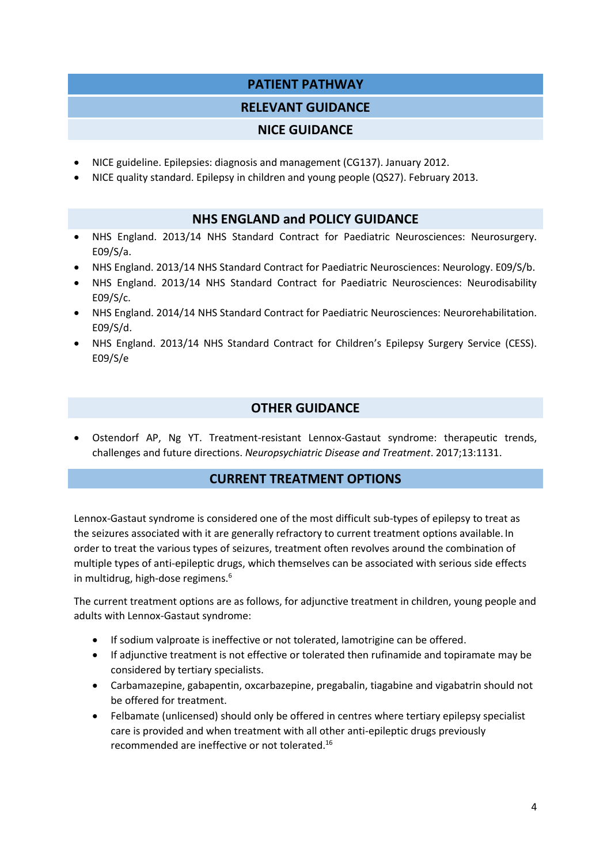# **PATIENT PATHWAY**

# **RELEVANT GUIDANCE**

# **NICE GUIDANCE**

- NICE guideline. Epilepsies: diagnosis and management (CG137). January 2012.
- NICE quality standard. Epilepsy in children and young people (QS27). February 2013.

# **NHS ENGLAND and POLICY GUIDANCE**

- NHS England. 2013/14 NHS Standard Contract for Paediatric Neurosciences: Neurosurgery. E09/S/a.
- NHS England. 2013/14 NHS Standard Contract for Paediatric Neurosciences: Neurology. E09/S/b.
- NHS England. 2013/14 NHS Standard Contract for Paediatric Neurosciences: Neurodisability E09/S/c.
- NHS England. 2014/14 NHS Standard Contract for Paediatric Neurosciences: Neurorehabilitation. E09/S/d.
- NHS England. 2013/14 NHS Standard Contract for Children's Epilepsy Surgery Service (CESS). E09/S/e

# **OTHER GUIDANCE**

 Ostendorf AP, Ng YT. Treatment-resistant Lennox-Gastaut syndrome: therapeutic trends, challenges and future directions. *Neuropsychiatric Disease and Treatment*. 2017;13:1131.

# **CURRENT TREATMENT OPTIONS**

Lennox-Gastaut syndrome is considered one of the most difficult sub-types of epilepsy to treat as the seizures associated with it are generally refractory to current treatment options available. In order to treat the various types of seizures, treatment often revolves around the combination of multiple types of anti-epileptic drugs, which themselves can be associated with serious side effects in multidrug, high-dose regimens.<sup>6</sup>

The current treatment options are as follows, for adjunctive treatment in children, young people and adults with Lennox-Gastaut syndrome:

- **If sodium valproate is ineffective or not tolerated, lamotrigine can be offered.**
- If adjunctive treatment is not effective or tolerated then rufinamide and topiramate may be considered by tertiary specialists.
- Carbamazepine, gabapentin, oxcarbazepine, pregabalin, tiagabine and vigabatrin should not be offered for treatment.
- Felbamate (unlicensed) should only be offered in centres where tertiary epilepsy specialist care is provided and when treatment with all other anti-epileptic drugs previously recommended are ineffective or not tolerated.<sup>16</sup>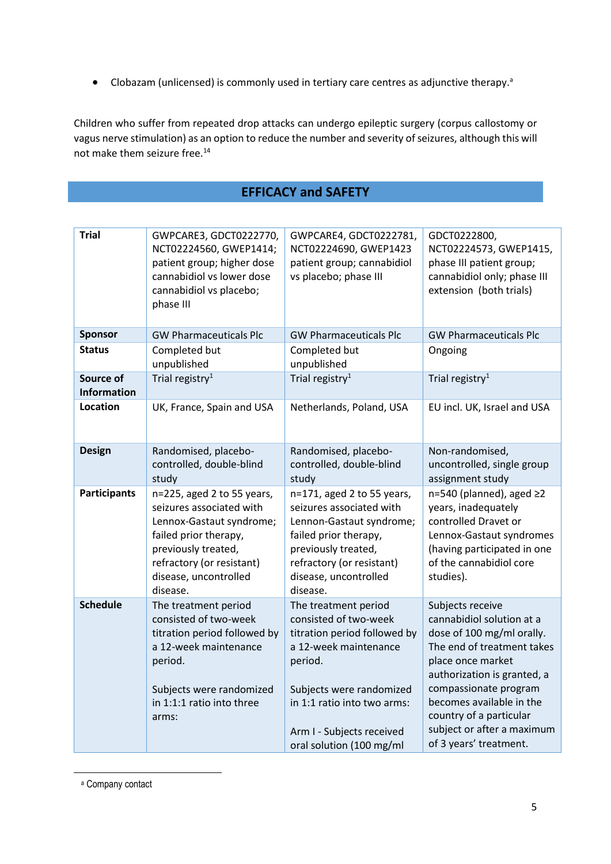• Clobazam (unlicensed) is commonly used in tertiary care centres as adjunctive therapy.<sup>a</sup>

Children who suffer from repeated drop attacks can undergo epileptic surgery (corpus callostomy or vagus nerve stimulation) as an option to reduce the number and severity of seizures, although this will not make them seizure free.<sup>14</sup>

# **EFFICACY and SAFETY**

| <b>Trial</b>             | GWPCARE3, GDCT0222770,<br>NCT02224560, GWEP1414;<br>patient group; higher dose<br>cannabidiol vs lower dose<br>cannabidiol vs placebo;<br>phase III                                                  | GWPCARE4, GDCT0222781,<br>NCT02224690, GWEP1423<br>patient group; cannabidiol<br>vs placebo; phase III                                                                                                                                | GDCT0222800,<br>NCT02224573, GWEP1415,<br>phase III patient group;<br>cannabidiol only; phase III<br>extension (both trials)                                                                                                                                                                         |
|--------------------------|------------------------------------------------------------------------------------------------------------------------------------------------------------------------------------------------------|---------------------------------------------------------------------------------------------------------------------------------------------------------------------------------------------------------------------------------------|------------------------------------------------------------------------------------------------------------------------------------------------------------------------------------------------------------------------------------------------------------------------------------------------------|
| <b>Sponsor</b>           | <b>GW Pharmaceuticals Plc</b>                                                                                                                                                                        | <b>GW Pharmaceuticals Plc</b>                                                                                                                                                                                                         | <b>GW Pharmaceuticals Plc</b>                                                                                                                                                                                                                                                                        |
| <b>Status</b>            | Completed but<br>unpublished                                                                                                                                                                         | Completed but<br>unpublished                                                                                                                                                                                                          | Ongoing                                                                                                                                                                                                                                                                                              |
| Source of<br>Information | Trial registry <sup>1</sup>                                                                                                                                                                          | Trial registry <sup>1</sup>                                                                                                                                                                                                           | Trial registry <sup>1</sup>                                                                                                                                                                                                                                                                          |
| Location                 | UK, France, Spain and USA                                                                                                                                                                            | Netherlands, Poland, USA                                                                                                                                                                                                              | EU incl. UK, Israel and USA                                                                                                                                                                                                                                                                          |
| <b>Design</b>            | Randomised, placebo-<br>controlled, double-blind<br>study                                                                                                                                            | Randomised, placebo-<br>controlled, double-blind<br>study                                                                                                                                                                             | Non-randomised,<br>uncontrolled, single group<br>assignment study                                                                                                                                                                                                                                    |
| <b>Participants</b>      | n=225, aged 2 to 55 years,<br>seizures associated with<br>Lennox-Gastaut syndrome;<br>failed prior therapy,<br>previously treated,<br>refractory (or resistant)<br>disease, uncontrolled<br>disease. | n=171, aged 2 to 55 years,<br>seizures associated with<br>Lennon-Gastaut syndrome;<br>failed prior therapy,<br>previously treated,<br>refractory (or resistant)<br>disease, uncontrolled<br>disease.                                  | n=540 (planned), aged ≥2<br>years, inadequately<br>controlled Dravet or<br>Lennox-Gastaut syndromes<br>(having participated in one<br>of the cannabidiol core<br>studies).                                                                                                                           |
| <b>Schedule</b>          | The treatment period<br>consisted of two-week<br>titration period followed by<br>a 12-week maintenance<br>period.<br>Subjects were randomized<br>in 1:1:1 ratio into three<br>arms:                  | The treatment period<br>consisted of two-week<br>titration period followed by<br>a 12-week maintenance<br>period.<br>Subjects were randomized<br>in 1:1 ratio into two arms:<br>Arm I - Subjects received<br>oral solution (100 mg/ml | Subjects receive<br>cannabidiol solution at a<br>dose of 100 mg/ml orally.<br>The end of treatment takes<br>place once market<br>authorization is granted, a<br>compassionate program<br>becomes available in the<br>country of a particular<br>subject or after a maximum<br>of 3 years' treatment. |

<sup>a</sup> Company contact

**.**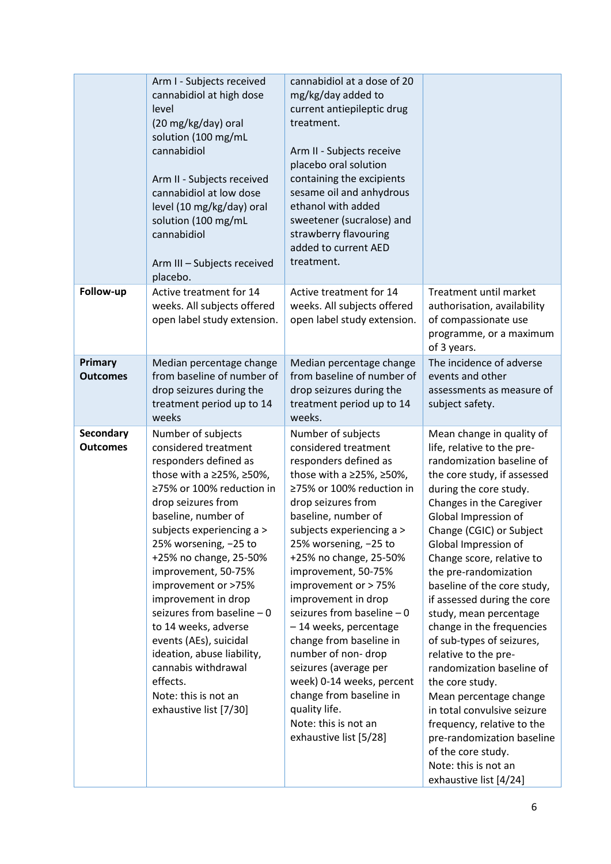|                              | Arm I - Subjects received<br>cannabidiol at high dose<br>level<br>(20 mg/kg/day) oral<br>solution (100 mg/mL<br>cannabidiol<br>Arm II - Subjects received<br>cannabidiol at low dose<br>level (10 mg/kg/day) oral<br>solution (100 mg/mL<br>cannabidiol<br>Arm III - Subjects received<br>placebo.                                                                                                                                                                                                                                 | cannabidiol at a dose of 20<br>mg/kg/day added to<br>current antiepileptic drug<br>treatment.<br>Arm II - Subjects receive<br>placebo oral solution<br>containing the excipients<br>sesame oil and anhydrous<br>ethanol with added<br>sweetener (sucralose) and<br>strawberry flavouring<br>added to current AED<br>treatment.                                                                                                                                                                                                                                                               |                                                                                                                                                                                                                                                                                                                                                                                                                                                                                                                                                                                                                                                                                                                                    |
|------------------------------|------------------------------------------------------------------------------------------------------------------------------------------------------------------------------------------------------------------------------------------------------------------------------------------------------------------------------------------------------------------------------------------------------------------------------------------------------------------------------------------------------------------------------------|----------------------------------------------------------------------------------------------------------------------------------------------------------------------------------------------------------------------------------------------------------------------------------------------------------------------------------------------------------------------------------------------------------------------------------------------------------------------------------------------------------------------------------------------------------------------------------------------|------------------------------------------------------------------------------------------------------------------------------------------------------------------------------------------------------------------------------------------------------------------------------------------------------------------------------------------------------------------------------------------------------------------------------------------------------------------------------------------------------------------------------------------------------------------------------------------------------------------------------------------------------------------------------------------------------------------------------------|
| Follow-up                    | Active treatment for 14<br>weeks. All subjects offered<br>open label study extension.                                                                                                                                                                                                                                                                                                                                                                                                                                              | Active treatment for 14<br>weeks. All subjects offered<br>open label study extension.                                                                                                                                                                                                                                                                                                                                                                                                                                                                                                        | Treatment until market<br>authorisation, availability<br>of compassionate use<br>programme, or a maximum<br>of 3 years.                                                                                                                                                                                                                                                                                                                                                                                                                                                                                                                                                                                                            |
| Primary<br><b>Outcomes</b>   | Median percentage change<br>from baseline of number of<br>drop seizures during the<br>treatment period up to 14<br>weeks                                                                                                                                                                                                                                                                                                                                                                                                           | Median percentage change<br>from baseline of number of<br>drop seizures during the<br>treatment period up to 14<br>weeks.                                                                                                                                                                                                                                                                                                                                                                                                                                                                    | The incidence of adverse<br>events and other<br>assessments as measure of<br>subject safety.                                                                                                                                                                                                                                                                                                                                                                                                                                                                                                                                                                                                                                       |
| Secondary<br><b>Outcomes</b> | Number of subjects<br>considered treatment<br>responders defined as<br>those with a ≥25%, ≥50%,<br>≥75% or 100% reduction in<br>drop seizures from<br>baseline, number of<br>subjects experiencing a ><br>25% worsening, -25 to<br>+25% no change, 25-50%<br>improvement, 50-75%<br>improvement or >75%<br>improvement in drop<br>seizures from baseline $-0$<br>to 14 weeks, adverse<br>events (AEs), suicidal<br>ideation, abuse liability,<br>cannabis withdrawal<br>effects.<br>Note: this is not an<br>exhaustive list [7/30] | Number of subjects<br>considered treatment<br>responders defined as<br>those with a ≥25%, ≥50%,<br>≥75% or 100% reduction in<br>drop seizures from<br>baseline, number of<br>subjects experiencing a ><br>25% worsening, -25 to<br>+25% no change, 25-50%<br>improvement, 50-75%<br>improvement or > 75%<br>improvement in drop<br>seizures from baseline $-0$<br>-14 weeks, percentage<br>change from baseline in<br>number of non-drop<br>seizures (average per<br>week) 0-14 weeks, percent<br>change from baseline in<br>quality life.<br>Note: this is not an<br>exhaustive list [5/28] | Mean change in quality of<br>life, relative to the pre-<br>randomization baseline of<br>the core study, if assessed<br>during the core study.<br>Changes in the Caregiver<br>Global Impression of<br>Change (CGIC) or Subject<br>Global Impression of<br>Change score, relative to<br>the pre-randomization<br>baseline of the core study,<br>if assessed during the core<br>study, mean percentage<br>change in the frequencies<br>of sub-types of seizures,<br>relative to the pre-<br>randomization baseline of<br>the core study.<br>Mean percentage change<br>in total convulsive seizure<br>frequency, relative to the<br>pre-randomization baseline<br>of the core study.<br>Note: this is not an<br>exhaustive list [4/24] |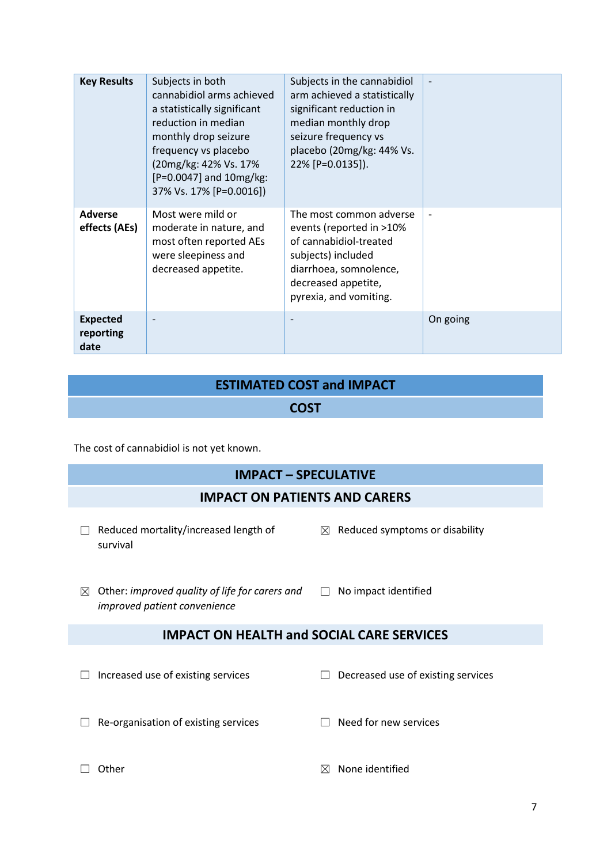| <b>Key Results</b>                   | Subjects in both<br>cannabidiol arms achieved<br>a statistically significant<br>reduction in median<br>monthly drop seizure<br>frequency vs placebo<br>(20mg/kg: 42% Vs. 17%<br>$[P=0.0047]$ and $10mg/kg$ :<br>37% Vs. 17% [P=0.0016]) | Subjects in the cannabidiol<br>arm achieved a statistically<br>significant reduction in<br>median monthly drop<br>seizure frequency vs<br>placebo (20mg/kg: 44% Vs.<br>22% [P=0.0135]). | $\overline{\phantom{a}}$ |
|--------------------------------------|-----------------------------------------------------------------------------------------------------------------------------------------------------------------------------------------------------------------------------------------|-----------------------------------------------------------------------------------------------------------------------------------------------------------------------------------------|--------------------------|
| <b>Adverse</b><br>effects (AEs)      | Most were mild or<br>moderate in nature, and<br>most often reported AEs<br>were sleepiness and<br>decreased appetite.                                                                                                                   | The most common adverse<br>events (reported in >10%<br>of cannabidiol-treated<br>subjects) included<br>diarrhoea, somnolence,<br>decreased appetite,<br>pyrexia, and vomiting.          |                          |
| <b>Expected</b><br>reporting<br>date | $\overline{\phantom{a}}$                                                                                                                                                                                                                |                                                                                                                                                                                         | On going                 |

# **ESTIMATED COST and IMPACT**

### **COST**

The cost of cannabidiol is not yet known.

# **IMPACT – SPECULATIVE**

#### **IMPACT ON PATIENTS AND CARERS**

- ☐ Reduced mortality/increased length of survival
	- $\boxtimes$  Reduced symptoms or disability
- ☒ Other: *improved quality of life for carers and*  ☐ No impact identified *improved patient convenience*

# **IMPACT ON HEALTH and SOCIAL CARE SERVICES**

☐ Increased use of existing services ☐ Decreased use of existing services

- ☐ Re-organisation of existing services ☐ Need for new services
- 
- 
- □ Other **□ Other** services and the services of **a** None identified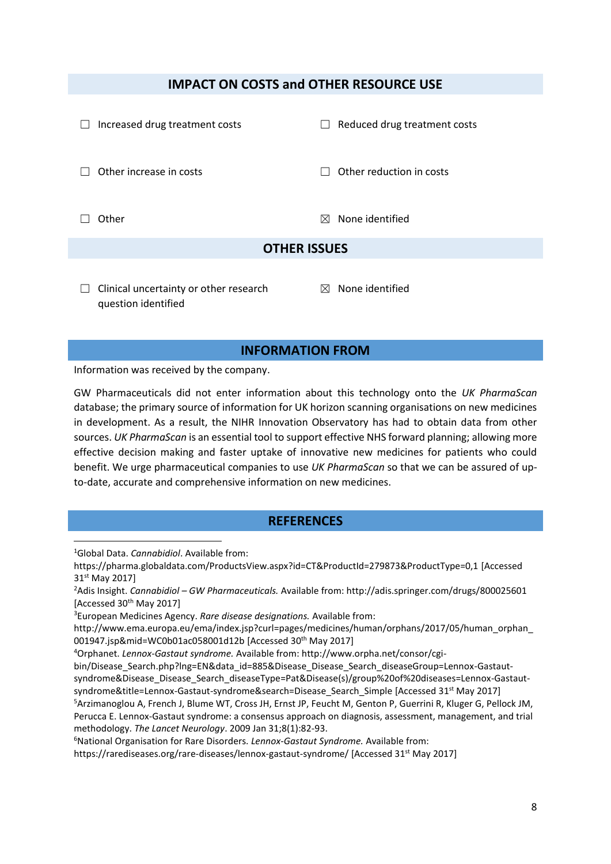#### **IMPACT ON COSTS and OTHER RESOURCE USE**

| Increased drug treatment costs<br>$\Box$ | Reduced drug treatment costs<br>$\mathbf{L}$ |  |
|------------------------------------------|----------------------------------------------|--|
| Other increase in costs                  | Other reduction in costs                     |  |
| Other                                    | None identified<br>⊠                         |  |
| <b>OTHER ISSUES</b>                      |                                              |  |
|                                          |                                              |  |

 $\Box$  Clinical uncertainty or other research question identified

 $<sup>8</sup>$  None identified</sup>

#### **INFORMATION FROM**

Information was received by the company.

GW Pharmaceuticals did not enter information about this technology onto the *UK PharmaScan* database; the primary source of information for UK horizon scanning organisations on new medicines in development. As a result, the NIHR Innovation Observatory has had to obtain data from other sources. *UK PharmaScan* is an essential tool to support effective NHS forward planning; allowing more effective decision making and faster uptake of innovative new medicines for patients who could benefit. We urge pharmaceutical companies to use *UK PharmaScan* so that we can be assured of upto-date, accurate and comprehensive information on new medicines.

#### **REFERENCES**

<sup>1</sup>Global Data. *Cannabidiol*. Available from: **.** 

bin/Disease\_Search.php?lng=EN&data\_id=885&Disease\_Disease\_Search\_diseaseGroup=Lennox-Gastautsyndrome&Disease\_Disease\_Search\_diseaseType=Pat&Disease(s)/group%20of%20diseases=Lennox-Gastautsyndrome&title=Lennox-Gastaut-syndrome&search=Disease\_Search\_Simple [Accessed 31<sup>st</sup> May 2017] <sup>5</sup>Arzimanoglou A, French J, Blume WT, Cross JH, Ernst JP, Feucht M, Genton P, Guerrini R, Kluger G, Pellock JM, Perucca E. Lennox-Gastaut syndrome: a consensus approach on diagnosis, assessment, management, and trial

methodology. *The Lancet Neurology*. 2009 Jan 31;8(1):82-93.

<sup>6</sup>National Organisation for Rare Disorders. *Lennox-Gastaut Syndrome.* Available from:

https://rarediseases.org/rare-diseases/lennox-gastaut-syndrome/ [Accessed 31<sup>st</sup> May 2017]

https://pharma.globaldata.com/ProductsView.aspx?id=CT&ProductId=279873&ProductType=0,1 [Accessed 31<sup>st</sup> May 2017]

<sup>2</sup>Adis Insight. *Cannabidiol – GW Pharmaceuticals.* Available from: http://adis.springer.com/drugs/800025601 [Accessed 30<sup>th</sup> May 2017]

<sup>3</sup>European Medicines Agency. *Rare disease designations.* Available from:

http://www.ema.europa.eu/ema/index.jsp?curl=pages/medicines/human/orphans/2017/05/human\_orphan\_ 001947.jsp&mid=WC0b01ac058001d12b [Accessed 30<sup>th</sup> May 2017]

<sup>4</sup>Orphanet. *Lennox-Gastaut syndrome.* Available from: http://www.orpha.net/consor/cgi-